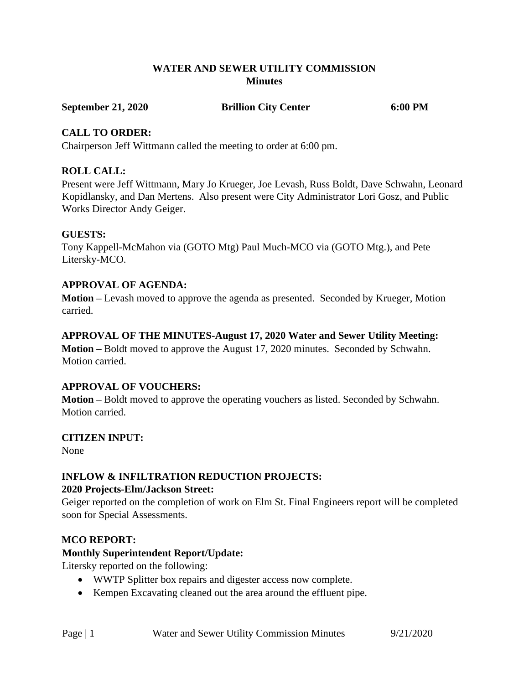## **WATER AND SEWER UTILITY COMMISSION Minutes**

#### **September 21, 2020 Brillion City Center 6:00 PM**

## **CALL TO ORDER:**

Chairperson Jeff Wittmann called the meeting to order at 6:00 pm.

# **ROLL CALL:**

Present were Jeff Wittmann, Mary Jo Krueger, Joe Levash, Russ Boldt, Dave Schwahn, Leonard Kopidlansky, and Dan Mertens. Also present were City Administrator Lori Gosz, and Public Works Director Andy Geiger.

# **GUESTS:**

Tony Kappell-McMahon via (GOTO Mtg) Paul Much-MCO via (GOTO Mtg.), and Pete Litersky-MCO.

# **APPROVAL OF AGENDA:**

**Motion –** Levash moved to approve the agenda as presented. Seconded by Krueger, Motion carried.

## **APPROVAL OF THE MINUTES-August 17, 2020 Water and Sewer Utility Meeting:**

**Motion –** Boldt moved to approve the August 17, 2020 minutes. Seconded by Schwahn. Motion carried.

# **APPROVAL OF VOUCHERS:**

**Motion –** Boldt moved to approve the operating vouchers as listed. Seconded by Schwahn. Motion carried.

# **CITIZEN INPUT:**

None

# **INFLOW & INFILTRATION REDUCTION PROJECTS:**

#### **2020 Projects-Elm/Jackson Street:**

Geiger reported on the completion of work on Elm St. Final Engineers report will be completed soon for Special Assessments.

# **MCO REPORT:**

# **Monthly Superintendent Report/Update:**

Litersky reported on the following:

- WWTP Splitter box repairs and digester access now complete.
- Kempen Excavating cleaned out the area around the effluent pipe.